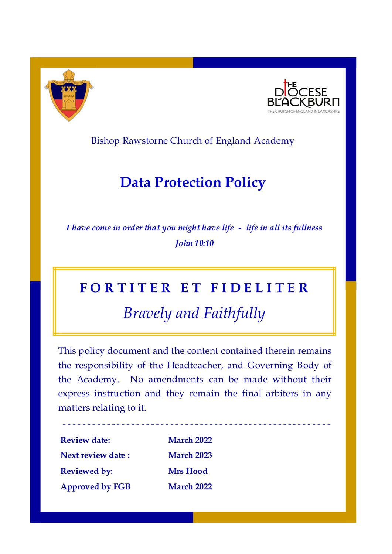

**-**



Bishop Rawstorne Church of England Academy

## **Data Protection Policy**

*I have come in order that you might have life - life in all its fullness John 10:10*

# **F O R T I T E R E T F I D E L I T E R**

*Bravely and Faithfully*

This policy document and the content contained therein remains the responsibility of the Headteacher, and Governing Body of the Academy. No amendments can be made without their express instruction and they remain the final arbiters in any matters relating to it.

**- - - - - - - - - - - - - - - - - - - - - - - - - - - - - - - - - - - - - - - - - - - - - - - - - - - - - -**

| <b>Review date:</b>    | <b>March 2022</b> |  |
|------------------------|-------------------|--|
| Next review date :     | <b>March 2023</b> |  |
| <b>Reviewed by:</b>    | <b>Mrs</b> Hood   |  |
| <b>Approved by FGB</b> | <b>March 2022</b> |  |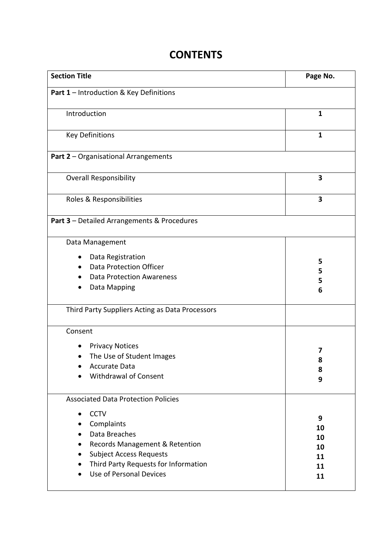### **CONTENTS**

| <b>Section Title</b>                              | Page No.     |  |  |
|---------------------------------------------------|--------------|--|--|
| Part 1 - Introduction & Key Definitions           |              |  |  |
| Introduction                                      | $\mathbf{1}$ |  |  |
| <b>Key Definitions</b>                            | $\mathbf{1}$ |  |  |
| <b>Part 2 - Organisational Arrangements</b>       |              |  |  |
| <b>Overall Responsibility</b>                     | 3            |  |  |
| Roles & Responsibilities                          | 3            |  |  |
| Part 3 - Detailed Arrangements & Procedures       |              |  |  |
| Data Management                                   |              |  |  |
| Data Registration                                 |              |  |  |
| <b>Data Protection Officer</b><br>$\bullet$       | 5<br>5       |  |  |
| <b>Data Protection Awareness</b>                  | 5            |  |  |
| Data Mapping                                      | 6            |  |  |
| Third Party Suppliers Acting as Data Processors   |              |  |  |
| Consent                                           |              |  |  |
| <b>Privacy Notices</b>                            |              |  |  |
| The Use of Student Images                         | 7            |  |  |
| <b>Accurate Data</b>                              | 8            |  |  |
| <b>Withdrawal of Consent</b>                      | 8<br>9       |  |  |
| <b>Associated Data Protection Policies</b>        |              |  |  |
| <b>CCTV</b>                                       |              |  |  |
| Complaints<br>$\bullet$                           | 9            |  |  |
| Data Breaches                                     | 10           |  |  |
| Records Management & Retention<br>$\bullet$       | 10<br>10     |  |  |
| <b>Subject Access Requests</b><br>$\bullet$       | 11           |  |  |
| Third Party Requests for Information<br>$\bullet$ | 11           |  |  |
| Use of Personal Devices<br>$\bullet$              | 11           |  |  |
|                                                   |              |  |  |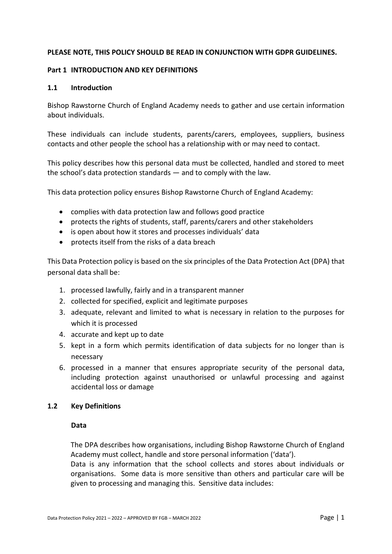#### **PLEASE NOTE, THIS POLICY SHOULD BE READ IN CONJUNCTION WITH GDPR GUIDELINES.**

#### **Part 1 INTRODUCTION AND KEY DEFINITIONS**

#### **1.1 Introduction**

Bishop Rawstorne Church of England Academy needs to gather and use certain information about individuals.

These individuals can include students, parents/carers, employees, suppliers, business contacts and other people the school has a relationship with or may need to contact.

This policy describes how this personal data must be collected, handled and stored to meet the school's data protection standards — and to comply with the law.

This data protection policy ensures Bishop Rawstorne Church of England Academy:

- complies with data protection law and follows good practice
- protects the rights of students, staff, parents/carers and other stakeholders
- is open about how it stores and processes individuals' data
- protects itself from the risks of a data breach

This Data Protection policy is based on the six principles of the Data Protection Act (DPA) that personal data shall be:

- 1. processed lawfully, fairly and in a transparent manner
- 2. collected for specified, explicit and legitimate purposes
- 3. adequate, relevant and limited to what is necessary in relation to the purposes for which it is processed
- 4. accurate and kept up to date
- 5. kept in a form which permits identification of data subjects for no longer than is necessary
- 6. processed in a manner that ensures appropriate security of the personal data, including protection against unauthorised or unlawful processing and against accidental loss or damage

#### **1.2 Key Definitions**

#### **Data**

The DPA describes how organisations, including Bishop Rawstorne Church of England Academy must collect, handle and store personal information ('data').

Data is any information that the school collects and stores about individuals or organisations. Some data is more sensitive than others and particular care will be given to processing and managing this. Sensitive data includes: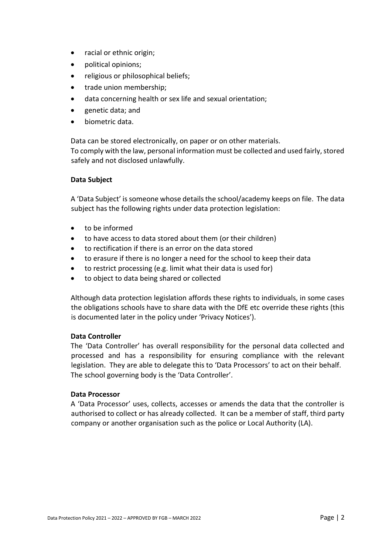- racial or ethnic origin;
- political opinions;
- religious or philosophical beliefs;
- trade union membership;
- data concerning health or sex life and sexual orientation;
- genetic data; and
- biometric data.

Data can be stored electronically, on paper or on other materials. To comply with the law, personal information must be collected and used fairly, stored safely and not disclosed unlawfully.

#### **Data Subject**

A 'Data Subject' is someone whose details the school/academy keeps on file. The data subject has the following rights under data protection legislation:

- to be informed
- to have access to data stored about them (or their children)
- to rectification if there is an error on the data stored
- to erasure if there is no longer a need for the school to keep their data
- to restrict processing (e.g. limit what their data is used for)
- to object to data being shared or collected

Although data protection legislation affords these rights to individuals, in some cases the obligations schools have to share data with the DfE etc override these rights (this is documented later in the policy under 'Privacy Notices').

#### **Data Controller**

The 'Data Controller' has overall responsibility for the personal data collected and processed and has a responsibility for ensuring compliance with the relevant legislation. They are able to delegate this to 'Data Processors' to act on their behalf. The school governing body is the 'Data Controller'.

#### **Data Processor**

A 'Data Processor' uses, collects, accesses or amends the data that the controller is authorised to collect or has already collected. It can be a member of staff, third party company or another organisation such as the police or Local Authority (LA).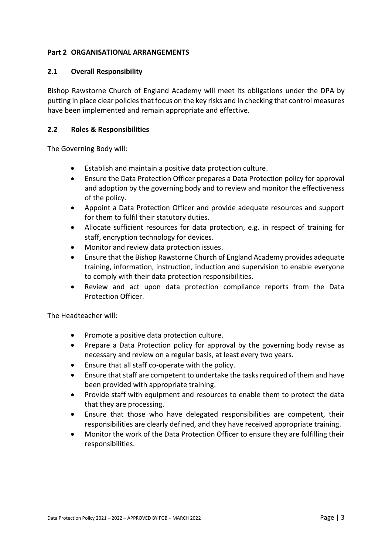#### **Part 2 ORGANISATIONAL ARRANGEMENTS**

#### **2.1 Overall Responsibility**

Bishop Rawstorne Church of England Academy will meet its obligations under the DPA by putting in place clear policies that focus on the key risks and in checking that control measures have been implemented and remain appropriate and effective.

#### **2.2 Roles & Responsibilities**

The Governing Body will:

- Establish and maintain a positive data protection culture.
- Ensure the Data Protection Officer prepares a Data Protection policy for approval and adoption by the governing body and to review and monitor the effectiveness of the policy.
- Appoint a Data Protection Officer and provide adequate resources and support for them to fulfil their statutory duties.
- Allocate sufficient resources for data protection, e.g. in respect of training for staff, encryption technology for devices.
- Monitor and review data protection issues.
- Ensure that the Bishop Rawstorne Church of England Academy provides adequate training, information, instruction, induction and supervision to enable everyone to comply with their data protection responsibilities.
- Review and act upon data protection compliance reports from the Data Protection Officer.

The Headteacher will:

- Promote a positive data protection culture.
- Prepare a Data Protection policy for approval by the governing body revise as necessary and review on a regular basis, at least every two years.
- Ensure that all staff co-operate with the policy.
- Ensure that staff are competent to undertake the tasks required of them and have been provided with appropriate training.
- Provide staff with equipment and resources to enable them to protect the data that they are processing.
- Ensure that those who have delegated responsibilities are competent, their responsibilities are clearly defined, and they have received appropriate training.
- Monitor the work of the Data Protection Officer to ensure they are fulfilling their responsibilities.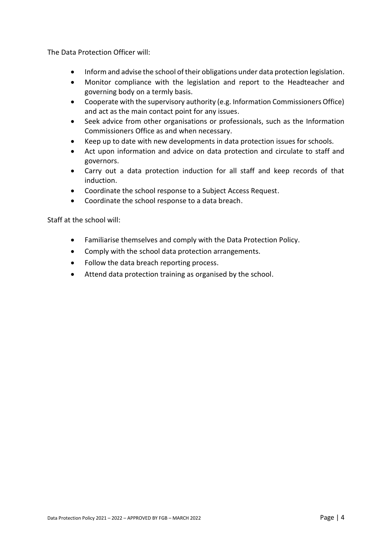The Data Protection Officer will:

- Inform and advise the school of their obligations under data protection legislation.
- Monitor compliance with the legislation and report to the Headteacher and governing body on a termly basis.
- Cooperate with the supervisory authority (e.g. Information Commissioners Office) and act as the main contact point for any issues.
- Seek advice from other organisations or professionals, such as the Information Commissioners Office as and when necessary.
- Keep up to date with new developments in data protection issues for schools.
- Act upon information and advice on data protection and circulate to staff and governors.
- Carry out a data protection induction for all staff and keep records of that induction.
- Coordinate the school response to a Subject Access Request.
- Coordinate the school response to a data breach.

Staff at the school will:

- Familiarise themselves and comply with the Data Protection Policy.
- Comply with the school data protection arrangements.
- Follow the data breach reporting process.
- Attend data protection training as organised by the school.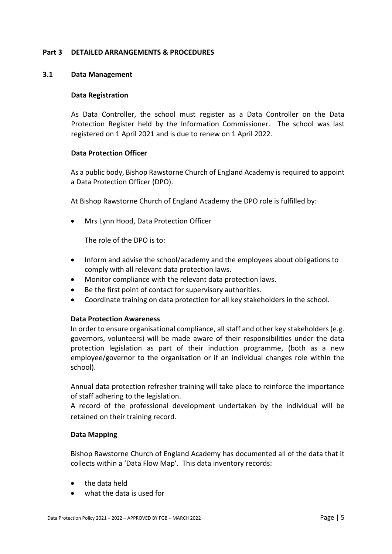#### **Part 3 DETAILED ARRANGEMENTS & PROCEDURES**

#### **3.1 Data Management**

#### **Data Registration**

As Data Controller, the school must register as a Data Controller on the Data Protection Register held by the Information Commissioner. The school was last registered on 1 April 2021 and is due to renew on 1 April 2022.

#### **Data Protection Officer**

As a public body, Bishop Rawstorne Church of England Academy is required to appoint a Data Protection Officer (DPO).

At Bishop Rawstorne Church of England Academy the DPO role is fulfilled by:

• Mrs Lynn Hood, Data Protection Officer

The role of the DPO is to:

- Inform and advise the school/academy and the employees about obligations to comply with all relevant data protection laws.
- Monitor compliance with the relevant data protection laws.
- Be the first point of contact for supervisory authorities.
- Coordinate training on data protection for all key stakeholders in the school.

#### **Data Protection Awareness**

In order to ensure organisational compliance, all staff and other key stakeholders (e.g. governors, volunteers) will be made aware of their responsibilities under the data protection legislation as part of their induction programme, (both as a new employee/governor to the organisation or if an individual changes role within the school).

Annual data protection refresher training will take place to reinforce the importance of staff adhering to the legislation.

A record of the professional development undertaken by the individual will be retained on their training record.

#### **Data Mapping**

Bishop Rawstorne Church of England Academy has documented all of the data that it collects within a 'Data Flow Map'. This data inventory records:

- the data held
- what the data is used for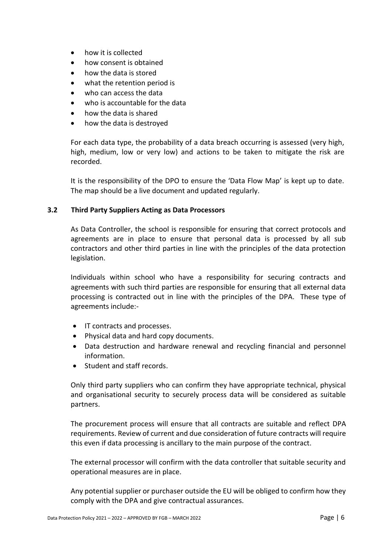- how it is collected
- how consent is obtained
- how the data is stored
- what the retention period is
- who can access the data
- who is accountable for the data
- how the data is shared
- how the data is destroyed

For each data type, the probability of a data breach occurring is assessed (very high, high, medium, low or very low) and actions to be taken to mitigate the risk are recorded.

It is the responsibility of the DPO to ensure the 'Data Flow Map' is kept up to date. The map should be a live document and updated regularly.

#### **3.2 Third Party Suppliers Acting as Data Processors**

As Data Controller, the school is responsible for ensuring that correct protocols and agreements are in place to ensure that personal data is processed by all sub contractors and other third parties in line with the principles of the data protection legislation.

Individuals within school who have a responsibility for securing contracts and agreements with such third parties are responsible for ensuring that all external data processing is contracted out in line with the principles of the DPA. These type of agreements include:-

- IT contracts and processes.
- Physical data and hard copy documents.
- Data destruction and hardware renewal and recycling financial and personnel information.
- Student and staff records.

Only third party suppliers who can confirm they have appropriate technical, physical and organisational security to securely process data will be considered as suitable partners.

The procurement process will ensure that all contracts are suitable and reflect DPA requirements. Review of current and due consideration of future contracts will require this even if data processing is ancillary to the main purpose of the contract.

The external processor will confirm with the data controller that suitable security and operational measures are in place.

Any potential supplier or purchaser outside the EU will be obliged to confirm how they comply with the DPA and give contractual assurances.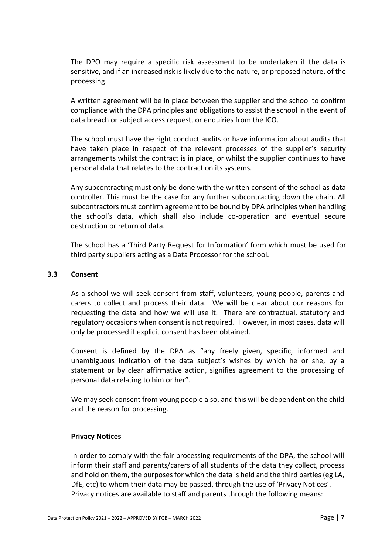The DPO may require a specific risk assessment to be undertaken if the data is sensitive, and if an increased risk is likely due to the nature, or proposed nature, of the processing.

A written agreement will be in place between the supplier and the school to confirm compliance with the DPA principles and obligations to assist the school in the event of data breach or subject access request, or enquiries from the ICO.

The school must have the right conduct audits or have information about audits that have taken place in respect of the relevant processes of the supplier's security arrangements whilst the contract is in place, or whilst the supplier continues to have personal data that relates to the contract on its systems.

Any subcontracting must only be done with the written consent of the school as data controller. This must be the case for any further subcontracting down the chain. All subcontractors must confirm agreement to be bound by DPA principles when handling the school's data, which shall also include co-operation and eventual secure destruction or return of data.

The school has a 'Third Party Request for Information' form which must be used for third party suppliers acting as a Data Processor for the school.

#### **3.3 Consent**

As a school we will seek consent from staff, volunteers, young people, parents and carers to collect and process their data. We will be clear about our reasons for requesting the data and how we will use it. There are contractual, statutory and regulatory occasions when consent is not required. However, in most cases, data will only be processed if explicit consent has been obtained.

Consent is defined by the DPA as "any freely given, specific, informed and unambiguous indication of the data subject's wishes by which he or she, by a statement or by clear affirmative action, signifies agreement to the processing of personal data relating to him or her".

We may seek consent from young people also, and this will be dependent on the child and the reason for processing.

#### **Privacy Notices**

In order to comply with the fair processing requirements of the DPA, the school will inform their staff and parents/carers of all students of the data they collect, process and hold on them, the purposes for which the data is held and the third parties (eg LA, DfE, etc) to whom their data may be passed, through the use of 'Privacy Notices'. Privacy notices are available to staff and parents through the following means: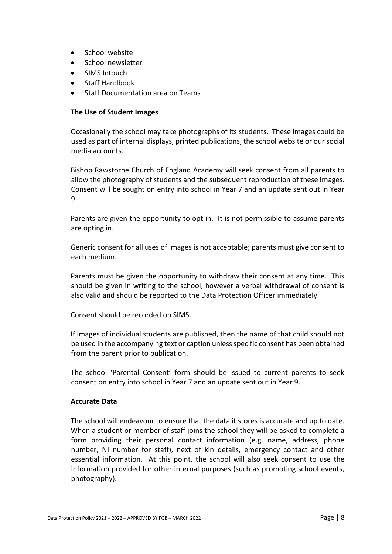- School website
- School newsletter
- SIMS Intouch
- Staff Handbook
- Staff Documentation area on Teams

#### **The Use of Student Images**

Occasionally the school may take photographs of its students. These images could be used as part of internal displays, printed publications, the school website or our social media accounts.

Bishop Rawstorne Church of England Academy will seek consent from all parents to allow the photography of students and the subsequent reproduction of these images. Consent will be sought on entry into school in Year 7 and an update sent out in Year 9.

Parents are given the opportunity to opt in. It is not permissible to assume parents are opting in.

Generic consent for all uses of images is not acceptable; parents must give consent to each medium.

Parents must be given the opportunity to withdraw their consent at any time. This should be given in writing to the school, however a verbal withdrawal of consent is also valid and should be reported to the Data Protection Officer immediately.

Consent should be recorded on SIMS.

If images of individual students are published, then the name of that child should not be used in the accompanying text or caption unless specific consent has been obtained from the parent prior to publication.

The school 'Parental Consent' form should be issued to current parents to seek consent on entry into school in Year 7 and an update sent out in Year 9.

#### **Accurate Data**

The school will endeavour to ensure that the data it stores is accurate and up to date. When a student or member of staff joins the school they will be asked to complete a form providing their personal contact information (e.g. name, address, phone number, NI number for staff), next of kin details, emergency contact and other essential information. At this point, the school will also seek consent to use the information provided for other internal purposes (such as promoting school events, photography).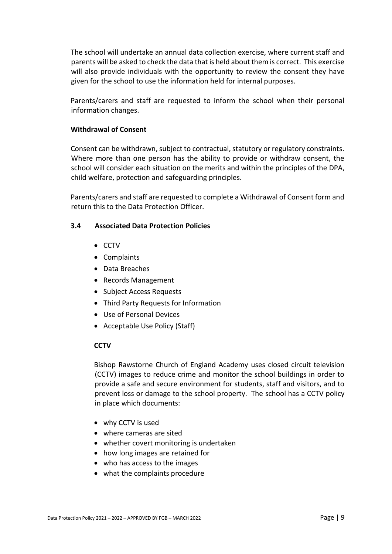The school will undertake an annual data collection exercise, where current staff and parents will be asked to check the data that is held about them is correct. This exercise will also provide individuals with the opportunity to review the consent they have given for the school to use the information held for internal purposes.

Parents/carers and staff are requested to inform the school when their personal information changes.

#### **Withdrawal of Consent**

Consent can be withdrawn, subject to contractual, statutory or regulatory constraints. Where more than one person has the ability to provide or withdraw consent, the school will consider each situation on the merits and within the principles of the DPA, child welfare, protection and safeguarding principles.

Parents/carers and staff are requested to complete a Withdrawal of Consent form and return this to the Data Protection Officer.

#### **3.4 Associated Data Protection Policies**

- CCTV
- Complaints
- Data Breaches
- Records Management
- Subject Access Requests
- Third Party Requests for Information
- Use of Personal Devices
- Acceptable Use Policy (Staff)

#### **CCTV**

Bishop Rawstorne Church of England Academy uses closed circuit television (CCTV) images to reduce crime and monitor the school buildings in order to provide a safe and secure environment for students, staff and visitors, and to prevent loss or damage to the school property. The school has a CCTV policy in place which documents:

- why CCTV is used
- where cameras are sited
- whether covert monitoring is undertaken
- how long images are retained for
- who has access to the images
- what the complaints procedure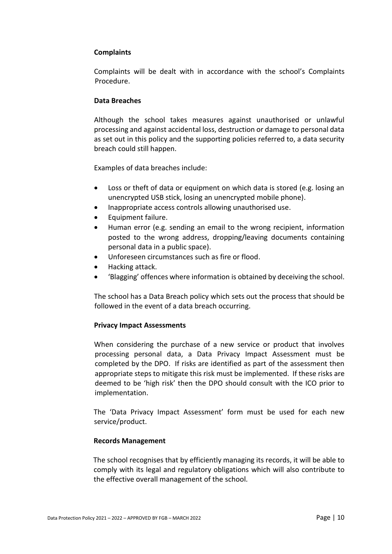#### **Complaints**

Complaints will be dealt with in accordance with the school's Complaints Procedure.

#### **Data Breaches**

Although the school takes measures against unauthorised or unlawful processing and against accidental loss, destruction or damage to personal data as set out in this policy and the supporting policies referred to, a data security breach could still happen.

Examples of data breaches include:

- Loss or theft of data or equipment on which data is stored (e.g. losing an unencrypted USB stick, losing an unencrypted mobile phone).
- Inappropriate access controls allowing unauthorised use.
- Equipment failure.
- Human error (e.g. sending an email to the wrong recipient, information posted to the wrong address, dropping/leaving documents containing personal data in a public space).
- Unforeseen circumstances such as fire or flood.
- Hacking attack.
- 'Blagging' offences where information is obtained by deceiving the school.

The school has a Data Breach policy which sets out the process that should be followed in the event of a data breach occurring.

#### **Privacy Impact Assessments**

When considering the purchase of a new service or product that involves processing personal data, a Data Privacy Impact Assessment must be completed by the DPO. If risks are identified as part of the assessment then appropriate steps to mitigate this risk must be implemented. If these risks are deemed to be 'high risk' then the DPO should consult with the ICO prior to implementation.

The 'Data Privacy Impact Assessment' form must be used for each new service/product.

#### **Records Management**

The school recognises that by efficiently managing its records, it will be able to comply with its legal and regulatory obligations which will also contribute to the effective overall management of the school.